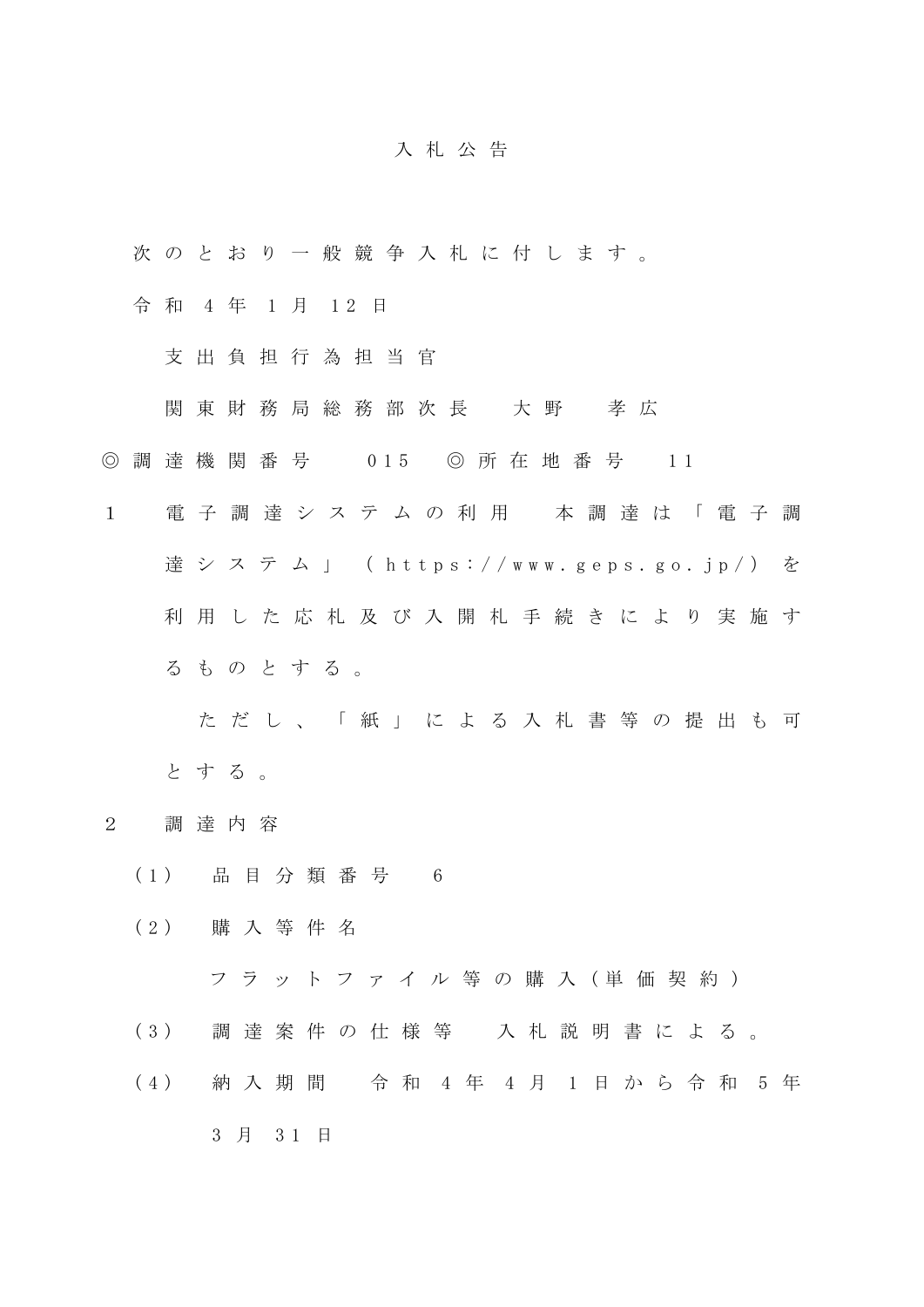## 入 札 公 告

- 次 の と お り 一 般 競 争 入 札 に 付 し ま す 。
- 令 和 4 年 1 月 12 日
	- 支 出 負 担 行 為 担 当 官
	- 関 東 財 務 局 総 務 部 次 長 大 野 孝 広
- ◎ 調 達 機 関 番 号 0 15 ◎ 所 在 地 番 号 1 1
- 1 電 子 調 達 シ ス テ ム の 利 用 本 調 達 は 「 電 子 調 達 シ ス テ ム 」 ( https://www.geps.go.jp/) を 利 用 し た 応 札 及 び 入 開 札 手 続 き に よ り 実 施 す る も の と す る 。

た だ し 、 「 紙 」 に よ る 入 札 書 等 の 提 出 も 可 と す る 。

- 2 調 達 内 容
	- ( 1 ) 品 目 分 類 番 号 6
	- ( 2 ) 購 入 等 件 名
		- フ ラ ッ ト フ ァ イ ル 等 の 購 入 ( 単 価 契 約 )
	- ( 3 ) 調 達 案 件 の 仕 様 等 入 札 説 明 書 に よ る 。
	- ( 4 ) 納 入 期 間 令 和 4 年 4 月 1 日 か ら 令 和 5 年
		- 3 月 3 1 日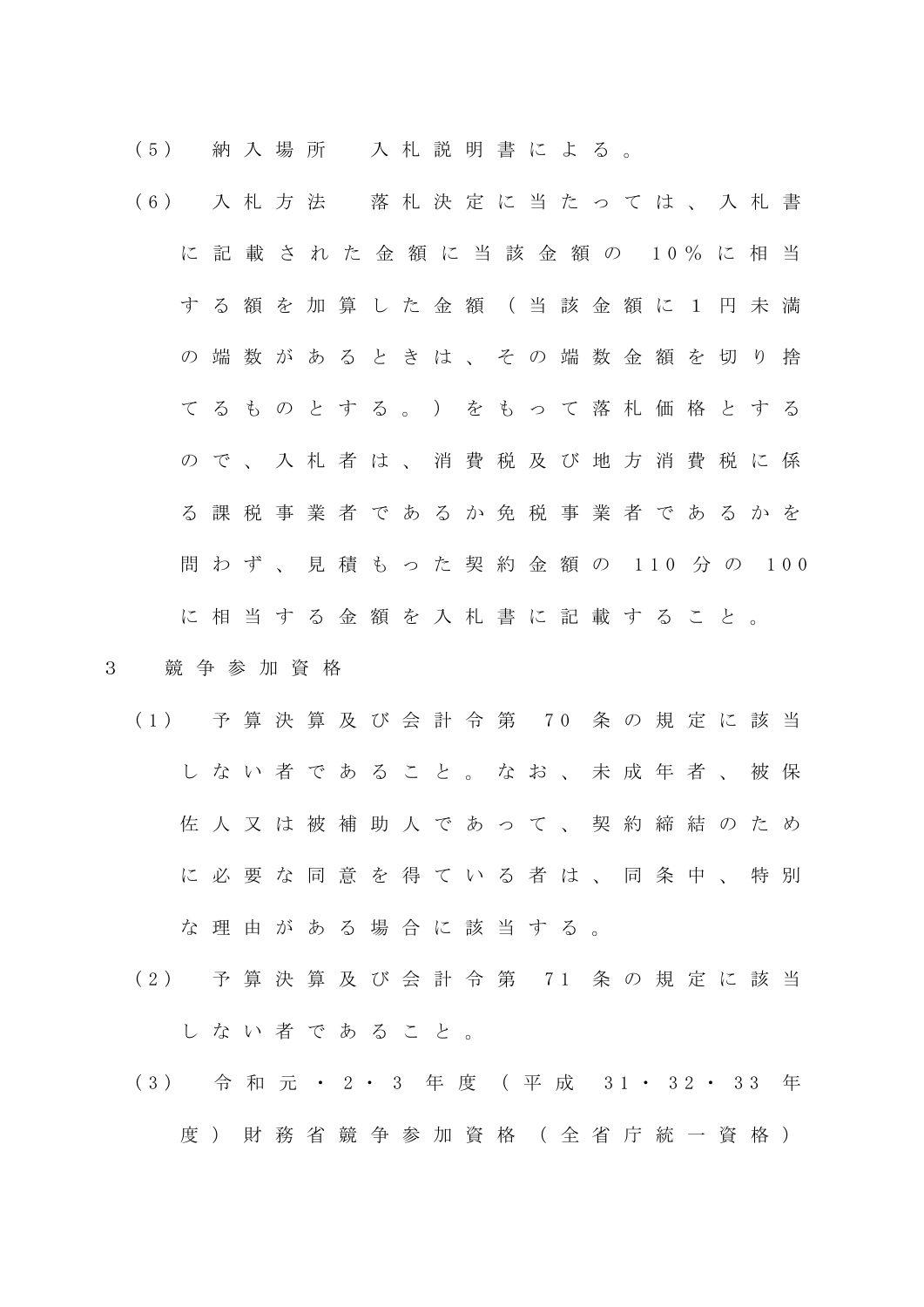( 5 ) 納 入 場 所 入 札 説 明 書 に よ る 。

( 6 ) 入 札 方 法 落 札 決 定 に 当 た っ て は 、 入 札 書 に 記 載 さ れ た 金 額 に 当 該 金 額 の 1 0 % に 相 当 す る 額 を 加 算 し た 金 額 ( 当 該 金 額 に 1 円 未 満 の 端 数 が あ る と き は 、 そ の 端 数 金 額 を 切 り 捨 て る も の と す る 。 ) を も っ て 落 札 価 格 と す る ので、入札者は、消費税及び地方消費税に係 る 課 税 事 業 者 で あ る か 免 税 事 業 者 で あ る か を 問 わ ず 、 見 積 も っ た 契 約 金 額 の 110 分 の 100 に 相 当 す る 金 額 を 入 札 書 に 記 載 す る こ と 。

## 3 競 争 参 加 資 格

- ( 1 ) 予 算 決 算 及 び 会 計 令 第 7 0 条 の 規 定 に 該 当 し な い 者 で あ る こ と 。 な お 、 未 成 年 者 、 被 保 佐 人 又 は 被 補 助 人 で あ っ て 、 契 約 締 結 の た め に必要な同意を得ている者は、同条中、特別 な 理 由 が あ る 場 合 に 該 当 す る 。
- ( 2 ) 予 算 決 算 及 び 会 計 令 第 7 1 条 の 規 定 に 該 当 し な い 者 で あ る こ と 。
- (3) 令和元·2·3 年度 (平成 31·32·33 年 度) 財 務 省 競 争 参 加 資 格 (全 省 庁 統 一 資 格 )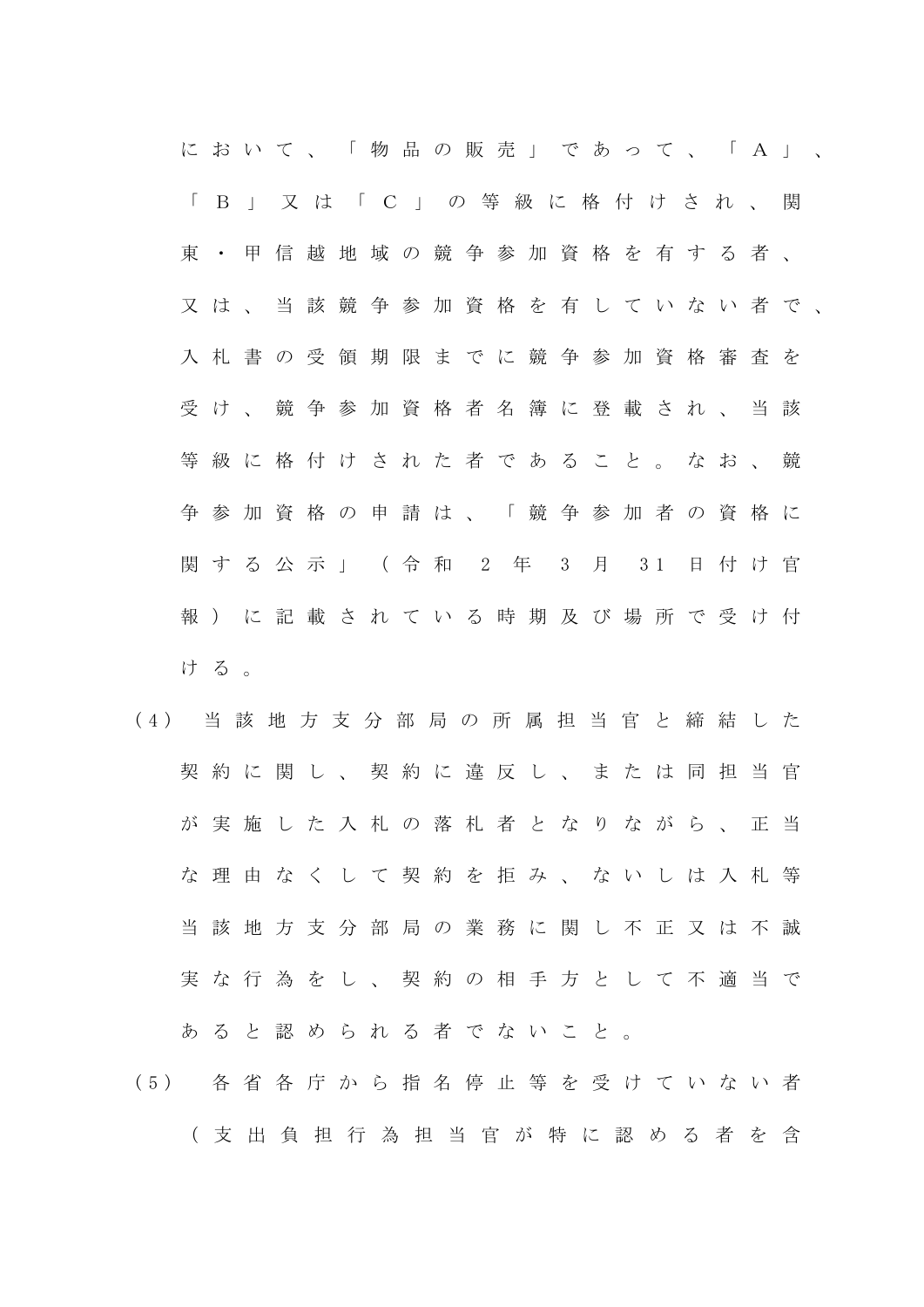に お い て 、 「 物 品 の 販 売 」 で あ っ て 、 「 A 」 、 「 B 」 又 は 「 C 」 の 等 級 に 格 付 け さ れ 、 関 東 ・ 甲 信 越 地 域 の 競 争 参 加 資 格 を 有 す る 者 、 又 は 、 当 該 競 争 参 加 資 格 を 有 し て い な い 者 で 、 入 札 書 の 受 領 期 限 ま で に 競 争 参 加 資 格 審 査 を 受け、競争参加資格者名簿に登載され、当該 等 級 に 格 付 け さ れ た 者 で あ る こ と 。 な お 、 競 争 参 加 資 格 の 申 請 は 、 「 競 争 参 加 者 の 資 格 に 関 す る 公 示 」 ( 令 和 2 年 3 月 3 1 日 付 け 官 報 ) に 記 載 さ れ て い る 時 期 及 び 場 所 で 受 け 付 ける。

- ( 4 ) 当 該 地 方 支 分 部 局 の 所 属 担 当 官 と 締 結 し た 契約に関し、契約に違反し、または同担当官 が 実 施 し た 入 札 の 落 札 者 と な り な が ら 、 正 当 な 理 由 な く し て 契 約 を 拒 み 、 な い し は 入 札 等 当 該 地 方 支 分 部 局 の 業 務 に 関 し 不 正 又 は 不 誠 実な行為をし、契約の相手方として不適当で あ る と 認 め ら れ る 者 で な い こ と 。
- ( 5 ) 各 省 各 庁 か ら 指 名 停 止 等 を 受 け て い な い 者 ( 支 出 負 担 行 為 担 当 官 が 特 に 認 め る 者 を 含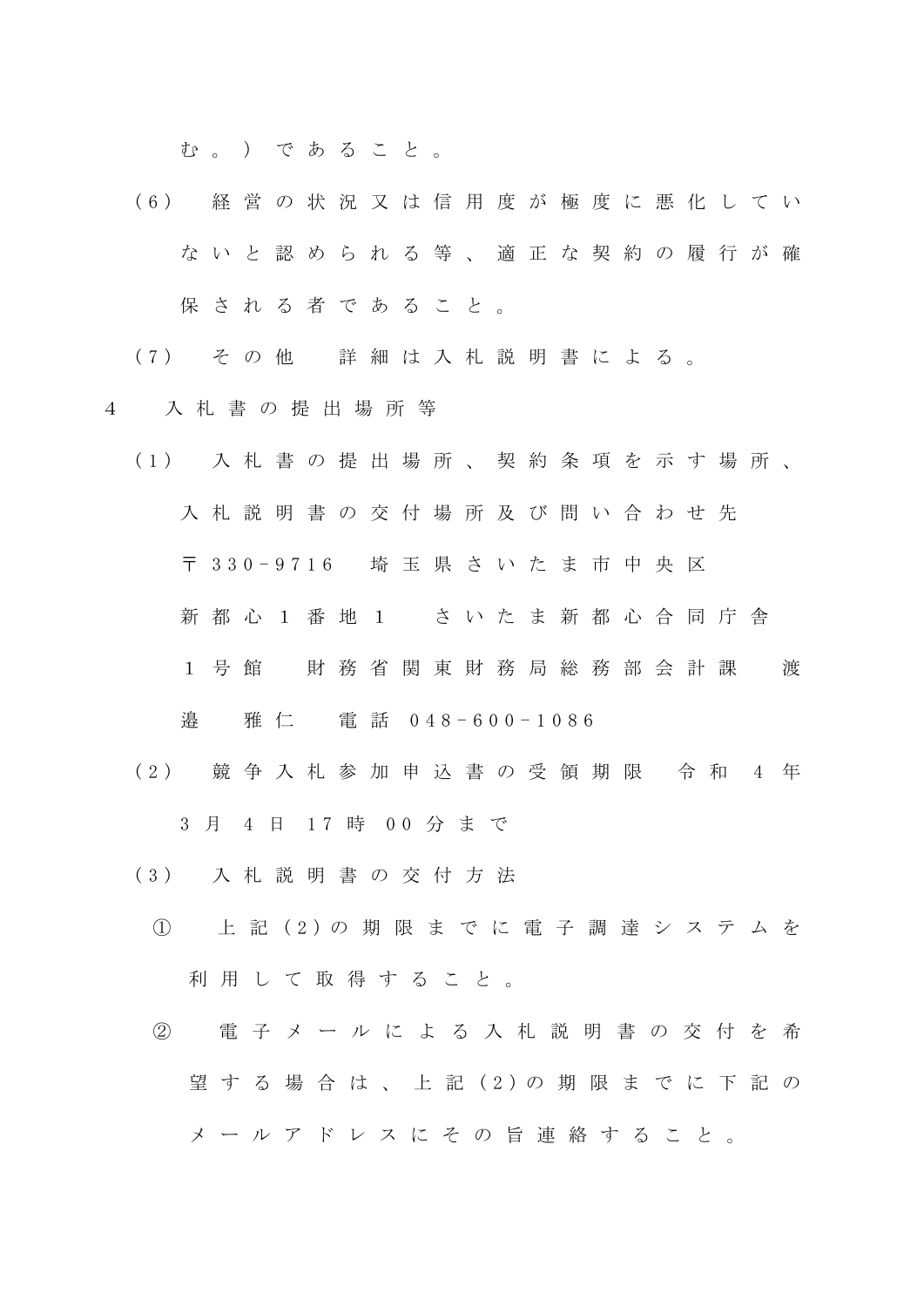む。) であること。

- ( 6 ) 経 営 の 状 況 又 は 信 用 度 が 極 度 に 悪 化 し て い ないと認められる等、適正な契約の履行が確 保 さ れ る 者 で あ る こ と 。
- ( 7 ) そ の 他 詳 細 は 入 札 説 明 書 に よ る 。
- 4 入 札 書 の 提 出 場 所 等
	- ( 1 ) 入 札 書 の 提 出 場 所 、 契 約 条 項 を 示 す 場 所 、 入 札 説 明 書 の 交 付 場 所 及 び 問 い 合 わ せ 先 〒 3 3 0 - 9 7 1 6 埼 玉 県 さ い た ま 市 中 央 区 新 都 心 1 番 地 1 さ い た ま 新 都 心 合 同 庁 舎 1 号 館 財 務 省 関 東 財 務 局 総 務 部 会 計 課 渡 邉 雅 仁 電 話 0 4 8 - 6 0 0 - 1 0 8 6
		- (2) 競争入札参加申込書の受領期限 令和 4 年 3 月 4 日 17 時 00 分 ま で
		- ( 3 ) 入 札 説 明 書 の 交 付 方 法
			- ① 上 記 ( 2 ) の 期 限 ま で に 電 子 調 達 シ ス テ ム を 利 用 し て 取 得 す る こ と 。
			- ② 電 子 メ ー ル に よ る 入 札 説 明 書 の 交 付 を 希 望 す る 場 合 は 、 上 記 ( 2 ) の 期 限 ま で に 下 記 の メ ー ル ア ド レ ス に そ の 旨 連 絡 す る こ と 。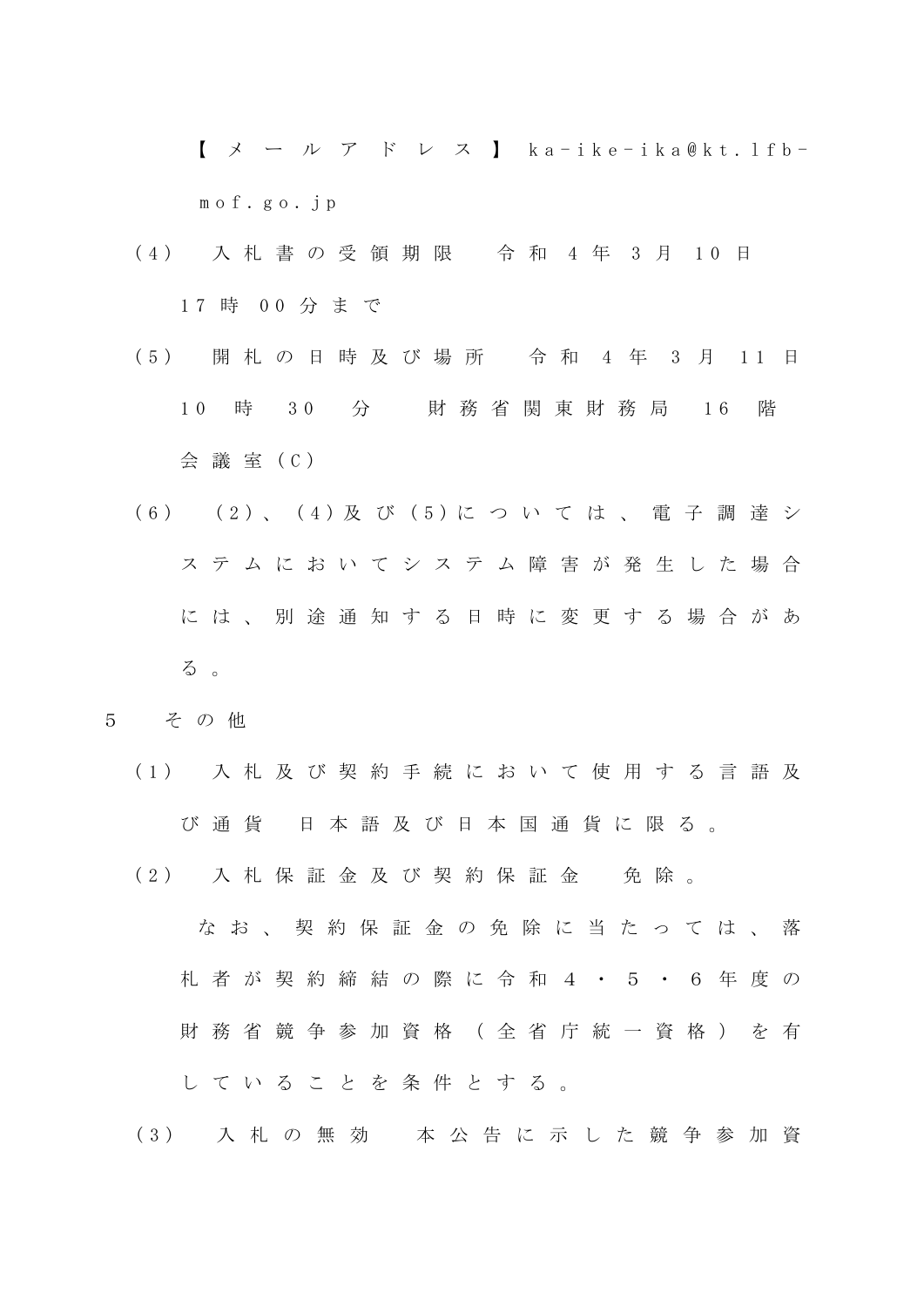$\left[\begin{array}{cc} \times & - \end{array}\right]$   $\left[\begin{array}{cc} \gamma & \gamma \\ \gamma & \gamma \end{array}\right]$   $\left[\begin{array}{cc} \times & - \end{array}\right]$   $\left[\begin{array}{cc} \times & - \end{array}\right]$ m o f . g o . j p

- (4) 入札書の受領期限 令和 4年 3月 10日 17 時 00 分まで
- ( 5 ) 開 札 の 日 時 及 び 場 所 令 和 4 年 3 月 1 1 日 1 0 時 3 0 分 財 務 省 関 東 財 務 局 1 6 階 会 議 室 ( C )
- ( 6 ) ( 2 ) 、 ( 4 ) 及 び ( 5 ) に つ い て は 、 電 子 調 達 シ ス テ ム に お い て シ ス テ ム 障 害 が 発 生 し た 場 合 に は 、 別 途 通 知 す る 日 時 に 変 更 す る 場 合 が あ る 。
- 5 そ の 他
	- ( 1 ) 入 札 及 び 契 約 手 続 に お い て 使 用 す る 言 語 及 び 通 貨 日 本 語 及 び 日 本 国 通 貨 に 限 る 。
	- (2) 入札保証金及び契約保証金 免除。

な お 、 契 約 保 証 金 の 免 除 に 当 た っ て は 、 落 札 者 が 契 約 締 結 の 際 に 令 和 4 ・ 5 ・ 6 年 度 の 財 務 省 競 争 参 加 資 格 ( 全 省 庁 統 一 資 格 ) を 有 し て い る こ と を 条 件 と す る 。

( 3 ) 入 札 の 無 効 本 公 告 に 示 し た 競 争 参 加 資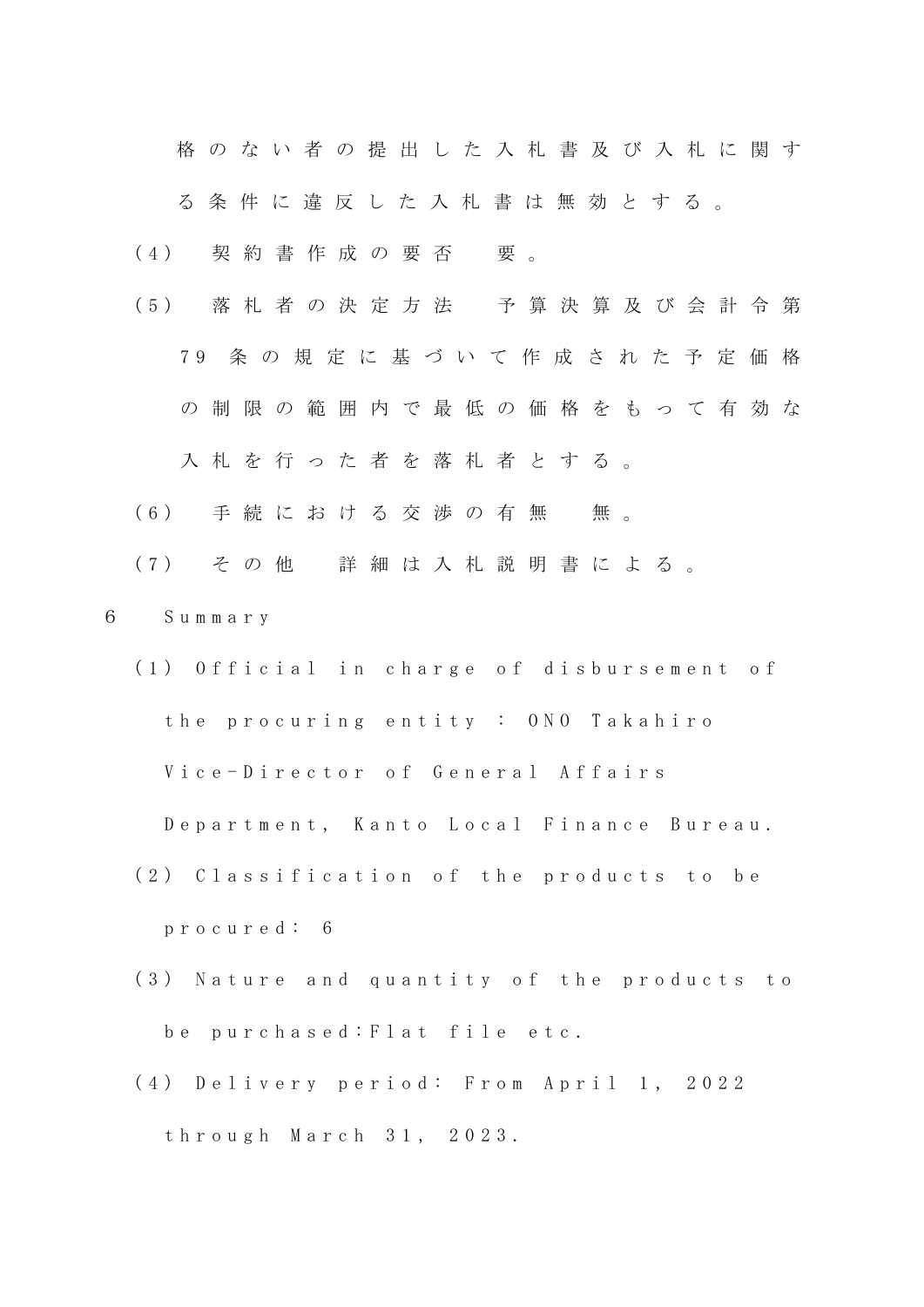格 の な い 者 の 提 出 し た 入 札 書 及 び 入 札 に 関 す

る 条 件 に 違 反 し た 入 札 書 は 無 効 と す る 。

(4) 契約書作成の要否 要。

- ( 5 ) 落 札 者 の 決 定 方 法 予 算 決 算 及 び 会 計 令 第 7 9 条 の 規 定 に 基 づ い て 作 成 さ れ た 予 定 価 格 の 制 限 の 範 囲 内 で 最 低 の 価 格 を も っ て 有 効 な 入札を行った者を落札者とする。
- (6) 手続における交渉の有無 無。

( 7 ) そ の 他 詳 細 は 入 札 説 明 書 に よ る 。

- 6 S u m m a r y
	- (1) Official in charge of disbursement of the procuring entity : ONO Takahiro

Vice-Director of General Affairs

Department, Kanto Local Finance Bureau.

- (2) Classification of the products to be p r o c u r e d : 6
- (3) Nature and quantity of the products to be purchased: Flat file etc.
- (4) Delivery period: From April 1, 2022 t h r o u g h M a r c h 3 1 , 2 0 2 3 .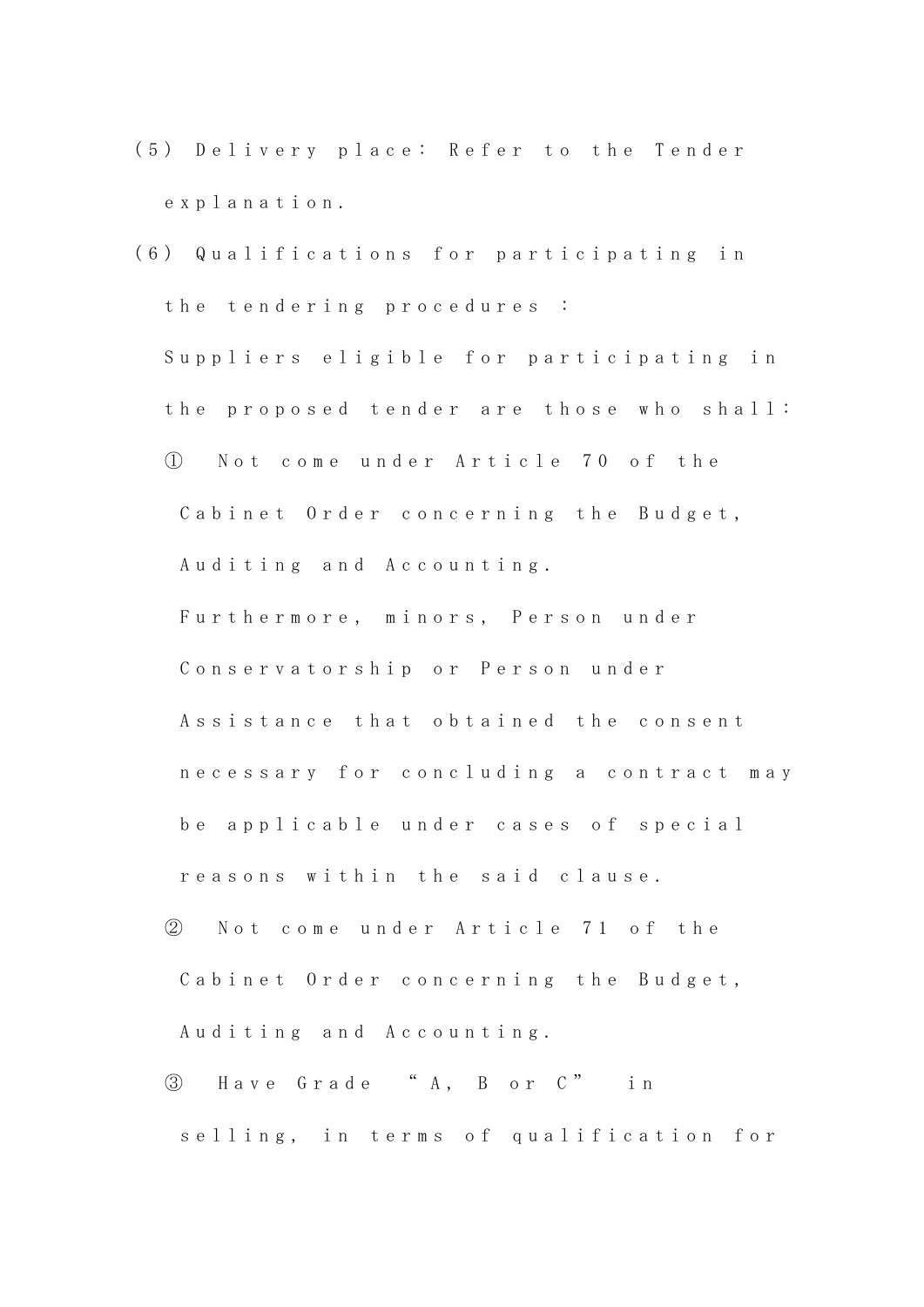- (5) Delivery place: Refer to the Tender e x p l a n a t i o n .
- (6) Qualifications for participating in the tendering procedures : Suppliers eligible for participating in the proposed tender are those who shall: ① N o t c o m e u n d e r A r t i c l e 7 0 o f t h e Cabinet Order concerning the Budget, Auditing and Accounting. Furthermore, minors, Person under Conservatorship or Person under Assistance that obtained the consent n e c e s s a r y f o r c o n c l u d i n g a c o n t r a c t m a y be applicable under cases of special r e a s o n s w i t h i n t h e s a i d c l a u s e .
	- ② Not come under Article 71 of the Cabinet Order concerning the Budget, Auditing and Accounting.
	- ③ H a v e G r a d e " A , B o r C " i n selling, in terms of qualification for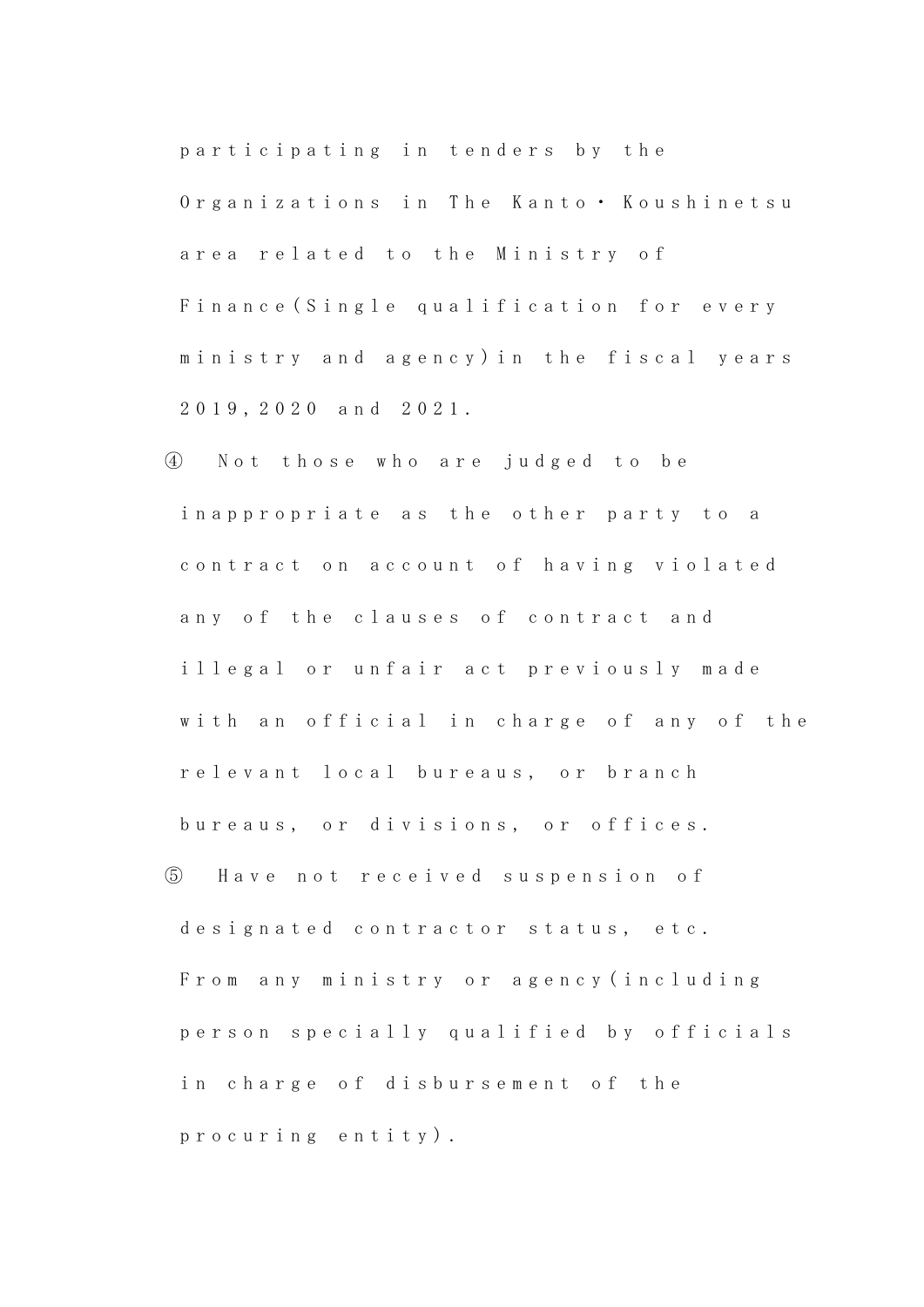participating in tenders by the Organizations in The Kanto · Koushinetsu area related to the Ministry of Finance (Single qualification for every ministry and agency) in the fiscal years 2 0 1 9 , 2 0 2 0 a n d 2 0 2 1 .

④ N o t t h o s e w h o a r e j u d g e d t o b e in a p p r o p r i a t e a s the other party to a contract on account of having violated any of the clauses of contract and illegal or unfair act previously made with an official in charge of any of the relevant local bureaus, or branch bureaus, or divisions, or offices. ⑤ H a v e n o t r e c e i v e d s u s p e n s i o n o f d e s i g n a t e d c o n t r a c t o r s t a t u s, e t c. From any ministry or agency (including person specially qualified by officials

in charge of disbursement of the

p r o c u r i n g e n t i t y ) .